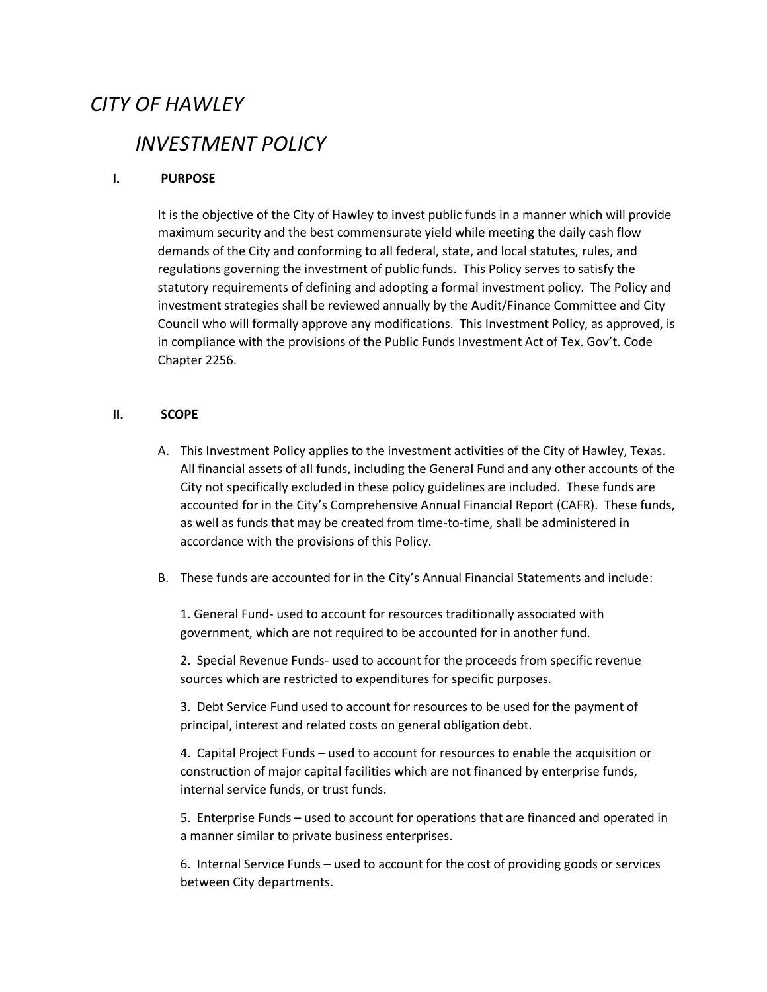# *CITY OF HAWLEY*

# *INVESTMENT POLICY*

# **I. PURPOSE**

It is the objective of the City of Hawley to invest public funds in a manner which will provide maximum security and the best commensurate yield while meeting the daily cash flow demands of the City and conforming to all federal, state, and local statutes, rules, and regulations governing the investment of public funds. This Policy serves to satisfy the statutory requirements of defining and adopting a formal investment policy. The Policy and investment strategies shall be reviewed annually by the Audit/Finance Committee and City Council who will formally approve any modifications. This Investment Policy, as approved, is in compliance with the provisions of the Public Funds Investment Act of Tex. Gov't. Code Chapter 2256.

# **II. SCOPE**

- A. This Investment Policy applies to the investment activities of the City of Hawley, Texas. All financial assets of all funds, including the General Fund and any other accounts of the City not specifically excluded in these policy guidelines are included. These funds are accounted for in the City's Comprehensive Annual Financial Report (CAFR). These funds, as well as funds that may be created from time-to-time, shall be administered in accordance with the provisions of this Policy.
- B. These funds are accounted for in the City's Annual Financial Statements and include:

1. General Fund- used to account for resources traditionally associated with government, which are not required to be accounted for in another fund.

2. Special Revenue Funds- used to account for the proceeds from specific revenue sources which are restricted to expenditures for specific purposes.

3. Debt Service Fund used to account for resources to be used for the payment of principal, interest and related costs on general obligation debt.

4. Capital Project Funds – used to account for resources to enable the acquisition or construction of major capital facilities which are not financed by enterprise funds, internal service funds, or trust funds.

5. Enterprise Funds – used to account for operations that are financed and operated in a manner similar to private business enterprises.

6. Internal Service Funds – used to account for the cost of providing goods or services between City departments.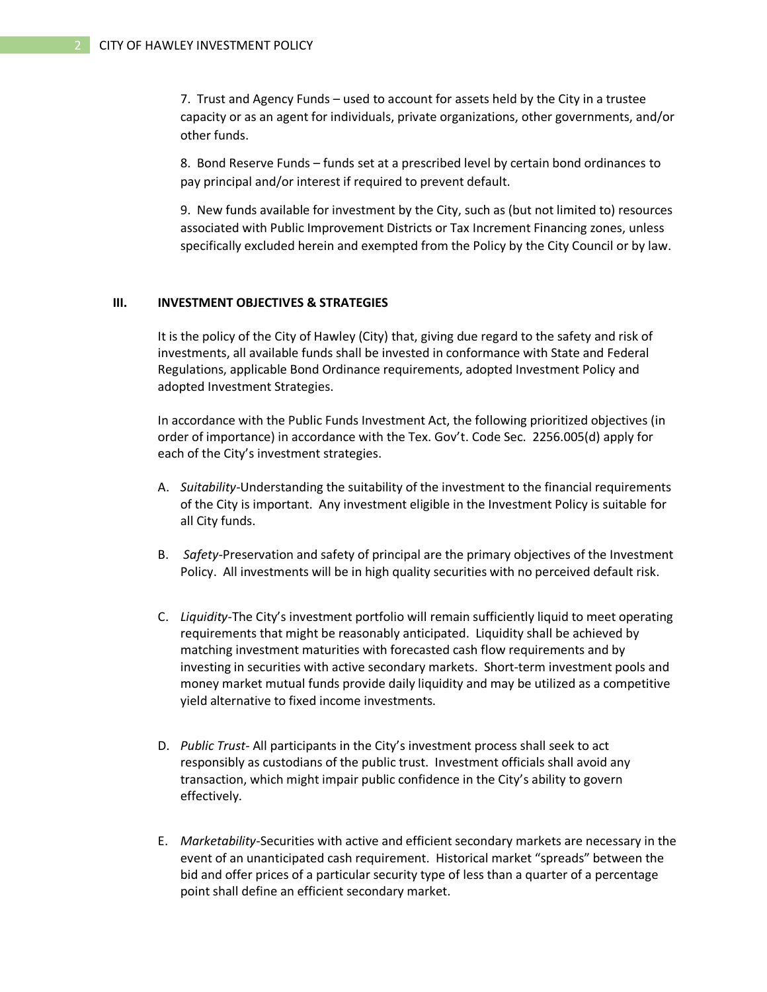7. Trust and Agency Funds – used to account for assets held by the City in a trustee capacity or as an agent for individuals, private organizations, other governments, and/or other funds.

8. Bond Reserve Funds – funds set at a prescribed level by certain bond ordinances to pay principal and/or interest if required to prevent default.

9. New funds available for investment by the City, such as (but not limited to) resources associated with Public Improvement Districts or Tax Increment Financing zones, unless specifically excluded herein and exempted from the Policy by the City Council or by law.

## **III. INVESTMENT OBJECTIVES & STRATEGIES**

It is the policy of the City of Hawley (City) that, giving due regard to the safety and risk of investments, all available funds shall be invested in conformance with State and Federal Regulations, applicable Bond Ordinance requirements, adopted Investment Policy and adopted Investment Strategies.

In accordance with the Public Funds Investment Act, the following prioritized objectives (in order of importance) in accordance with the Tex. Gov't. Code Sec. 2256.005(d) apply for each of the City's investment strategies.

- A. *Suitability*-Understanding the suitability of the investment to the financial requirements of the City is important. Any investment eligible in the Investment Policy is suitable for all City funds.
- B. *Safety-*Preservation and safety of principal are the primary objectives of the Investment Policy. All investments will be in high quality securities with no perceived default risk.
- C. *Liquidity*-The City's investment portfolio will remain sufficiently liquid to meet operating requirements that might be reasonably anticipated. Liquidity shall be achieved by matching investment maturities with forecasted cash flow requirements and by investing in securities with active secondary markets. Short-term investment pools and money market mutual funds provide daily liquidity and may be utilized as a competitive yield alternative to fixed income investments.
- D. *Public Trust-* All participants in the City's investment process shall seek to act responsibly as custodians of the public trust. Investment officials shall avoid any transaction, which might impair public confidence in the City's ability to govern effectively.
- E. *Marketability*-Securities with active and efficient secondary markets are necessary in the event of an unanticipated cash requirement. Historical market "spreads" between the bid and offer prices of a particular security type of less than a quarter of a percentage point shall define an efficient secondary market.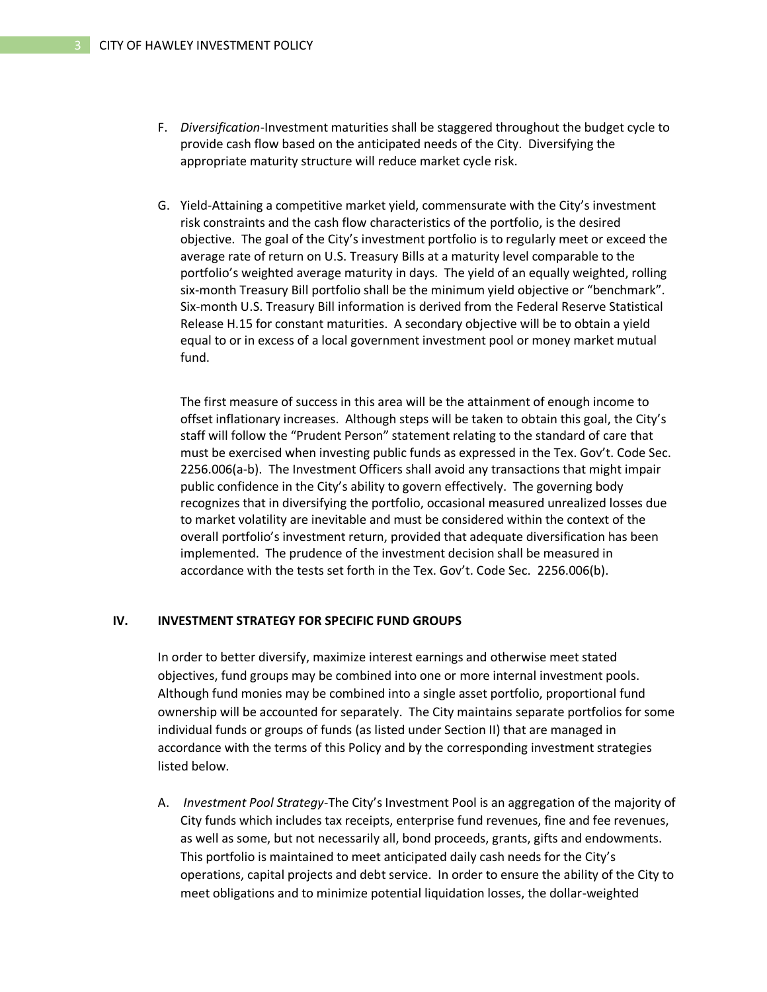- F. *Diversification*-Investment maturities shall be staggered throughout the budget cycle to provide cash flow based on the anticipated needs of the City. Diversifying the appropriate maturity structure will reduce market cycle risk.
- G. Yield-Attaining a competitive market yield, commensurate with the City's investment risk constraints and the cash flow characteristics of the portfolio, is the desired objective. The goal of the City's investment portfolio is to regularly meet or exceed the average rate of return on U.S. Treasury Bills at a maturity level comparable to the portfolio's weighted average maturity in days. The yield of an equally weighted, rolling six-month Treasury Bill portfolio shall be the minimum yield objective or "benchmark". Six-month U.S. Treasury Bill information is derived from the Federal Reserve Statistical Release H.15 for constant maturities. A secondary objective will be to obtain a yield equal to or in excess of a local government investment pool or money market mutual fund.

The first measure of success in this area will be the attainment of enough income to offset inflationary increases. Although steps will be taken to obtain this goal, the City's staff will follow the "Prudent Person" statement relating to the standard of care that must be exercised when investing public funds as expressed in the Tex. Gov't. Code Sec. 2256.006(a-b). The Investment Officers shall avoid any transactions that might impair public confidence in the City's ability to govern effectively. The governing body recognizes that in diversifying the portfolio, occasional measured unrealized losses due to market volatility are inevitable and must be considered within the context of the overall portfolio's investment return, provided that adequate diversification has been implemented. The prudence of the investment decision shall be measured in accordance with the tests set forth in the Tex. Gov't. Code Sec. 2256.006(b).

#### **IV. INVESTMENT STRATEGY FOR SPECIFIC FUND GROUPS**

In order to better diversify, maximize interest earnings and otherwise meet stated objectives, fund groups may be combined into one or more internal investment pools. Although fund monies may be combined into a single asset portfolio, proportional fund ownership will be accounted for separately. The City maintains separate portfolios for some individual funds or groups of funds (as listed under Section II) that are managed in accordance with the terms of this Policy and by the corresponding investment strategies listed below.

A. *Investment Pool Strategy*-The City's Investment Pool is an aggregation of the majority of City funds which includes tax receipts, enterprise fund revenues, fine and fee revenues, as well as some, but not necessarily all, bond proceeds, grants, gifts and endowments. This portfolio is maintained to meet anticipated daily cash needs for the City's operations, capital projects and debt service. In order to ensure the ability of the City to meet obligations and to minimize potential liquidation losses, the dollar-weighted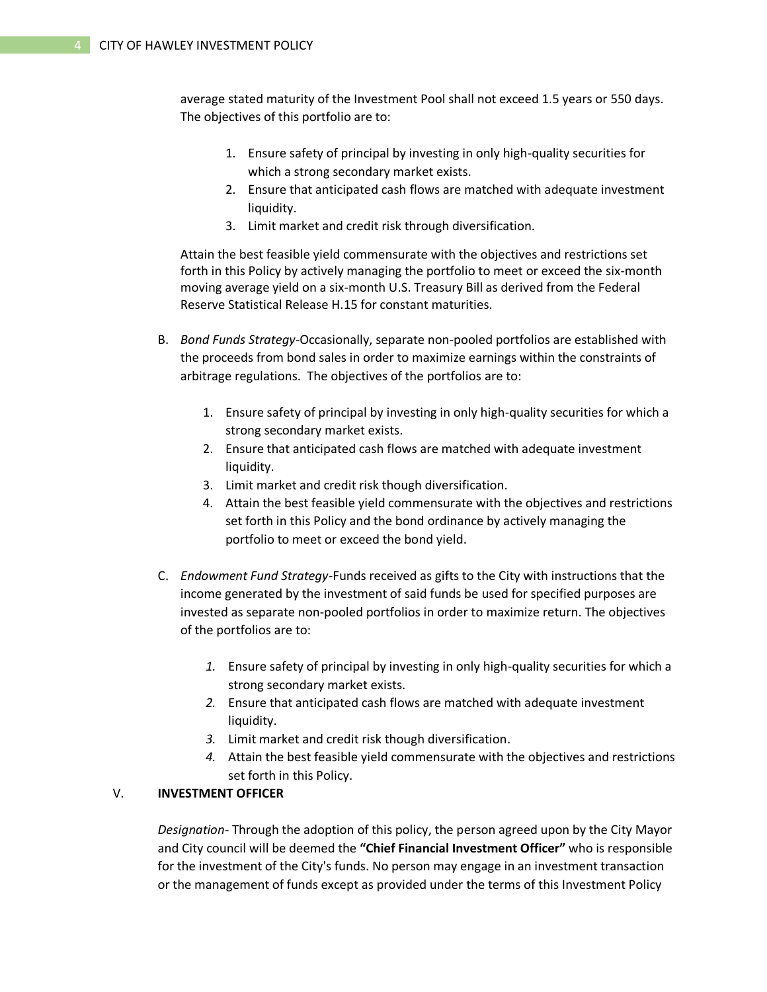average stated maturity of the Investment Pool shall not exceed 1.5 years or 550 days. The objectives of this portfolio are to:

- 1. Ensure safety of principal by investing in only high-quality securities for which a strong secondary market exists.
- 2. Ensure that anticipated cash flows are matched with adequate investment liquidity.
- 3. Limit market and credit risk through diversification.

Attain the best feasible yield commensurate with the objectives and restrictions set forth in this Policy by actively managing the portfolio to meet or exceed the six-month moving average yield on a six-month U.S. Treasury Bill as derived from the Federal Reserve Statistical Release H.15 for constant maturities.

- B. *Bond Funds Strategy*-Occasionally, separate non-pooled portfolios are established with the proceeds from bond sales in order to maximize earnings within the constraints of arbitrage regulations. The objectives of the portfolios are to:
	- 1. Ensure safety of principal by investing in only high-quality securities for which a strong secondary market exists.
	- 2. Ensure that anticipated cash flows are matched with adequate investment liquidity.
	- 3. Limit market and credit risk though diversification.
	- 4. Attain the best feasible yield commensurate with the objectives and restrictions set forth in this Policy and the bond ordinance by actively managing the portfolio to meet or exceed the bond yield.
- C. *Endowment Fund Strategy*-Funds received as gifts to the City with instructions that the income generated by the investment of said funds be used for specified purposes are invested as separate non-pooled portfolios in order to maximize return. The objectives of the portfolios are to:
	- *1.* Ensure safety of principal by investing in only high-quality securities for which a strong secondary market exists.
	- *2.* Ensure that anticipated cash flows are matched with adequate investment liquidity.
	- *3.* Limit market and credit risk though diversification.
	- *4.* Attain the best feasible yield commensurate with the objectives and restrictions set forth in this Policy.

# V. **INVESTMENT OFFICER**

*Designation-* Through the adoption of this policy, the person agreed upon by the City Mayor and City council will be deemed the **"Chief Financial Investment Officer"** who is responsible for the investment of the City's funds. No person may engage in an investment transaction or the management of funds except as provided under the terms of this Investment Policy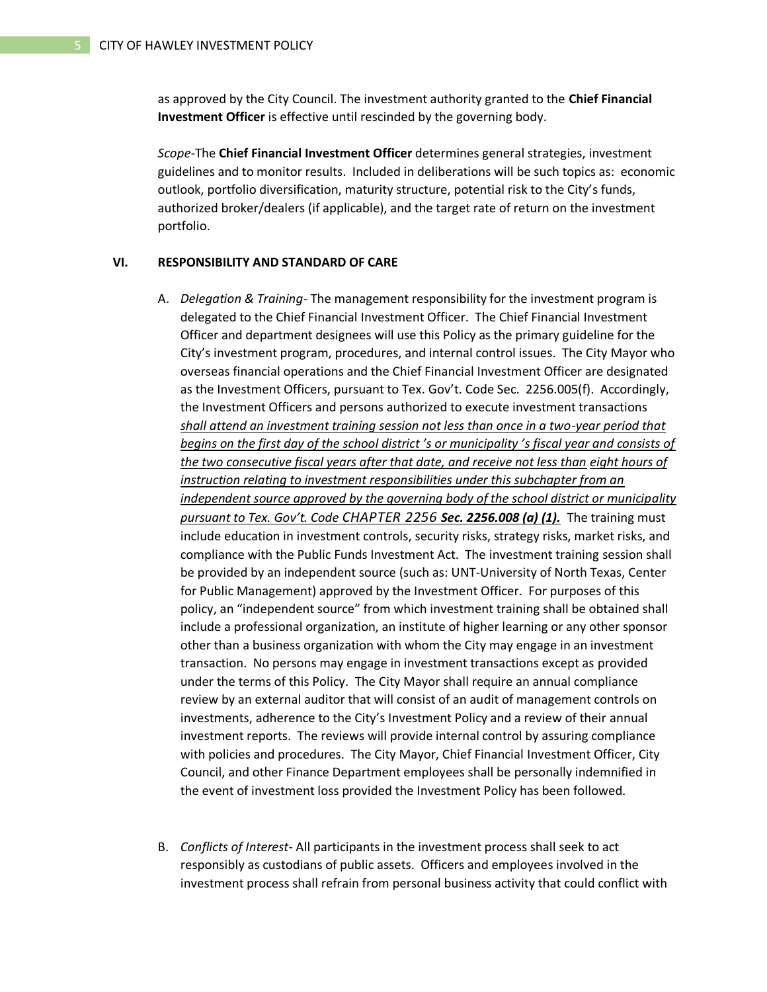as approved by the City Council. The investment authority granted to the **Chief Financial Investment Officer** is effective until rescinded by the governing body.

*Scope*-The **Chief Financial Investment Officer** determines general strategies, investment guidelines and to monitor results. Included in deliberations will be such topics as: economic outlook, portfolio diversification, maturity structure, potential risk to the City's funds, authorized broker/dealers (if applicable), and the target rate of return on the investment portfolio.

#### **VI. RESPONSIBILITY AND STANDARD OF CARE**

- A. *Delegation & Training* The management responsibility for the investment program is delegated to the Chief Financial Investment Officer. The Chief Financial Investment Officer and department designees will use this Policy as the primary guideline for the City's investment program, procedures, and internal control issues. The City Mayor who overseas financial operations and the Chief Financial Investment Officer are designated as the Investment Officers, pursuant to Tex. Gov't. Code Sec. 2256.005(f). Accordingly, the Investment Officers and persons authorized to execute investment transactions *shall attend an investment training session not less than once in a two-year period that begins on the first day of the school district 's or municipality 's fiscal year and consists of the two consecutive fiscal years after that date, and receive not less than eight hours of instruction relating to investment responsibilities under this subchapter from an independent source approved by the governing body of the school district or municipality pursuant to Tex. Gov't. Code CHAPTER 2256 Sec. 2256.008 (a) (1).* The training must include education in investment controls, security risks, strategy risks, market risks, and compliance with the Public Funds Investment Act. The investment training session shall be provided by an independent source (such as: UNT-University of North Texas, Center for Public Management) approved by the Investment Officer. For purposes of this policy, an "independent source" from which investment training shall be obtained shall include a professional organization, an institute of higher learning or any other sponsor other than a business organization with whom the City may engage in an investment transaction. No persons may engage in investment transactions except as provided under the terms of this Policy. The City Mayor shall require an annual compliance review by an external auditor that will consist of an audit of management controls on investments, adherence to the City's Investment Policy and a review of their annual investment reports. The reviews will provide internal control by assuring compliance with policies and procedures. The City Mayor, Chief Financial Investment Officer, City Council, and other Finance Department employees shall be personally indemnified in the event of investment loss provided the Investment Policy has been followed.
- B. *Conflicts of Interest* All participants in the investment process shall seek to act responsibly as custodians of public assets. Officers and employees involved in the investment process shall refrain from personal business activity that could conflict with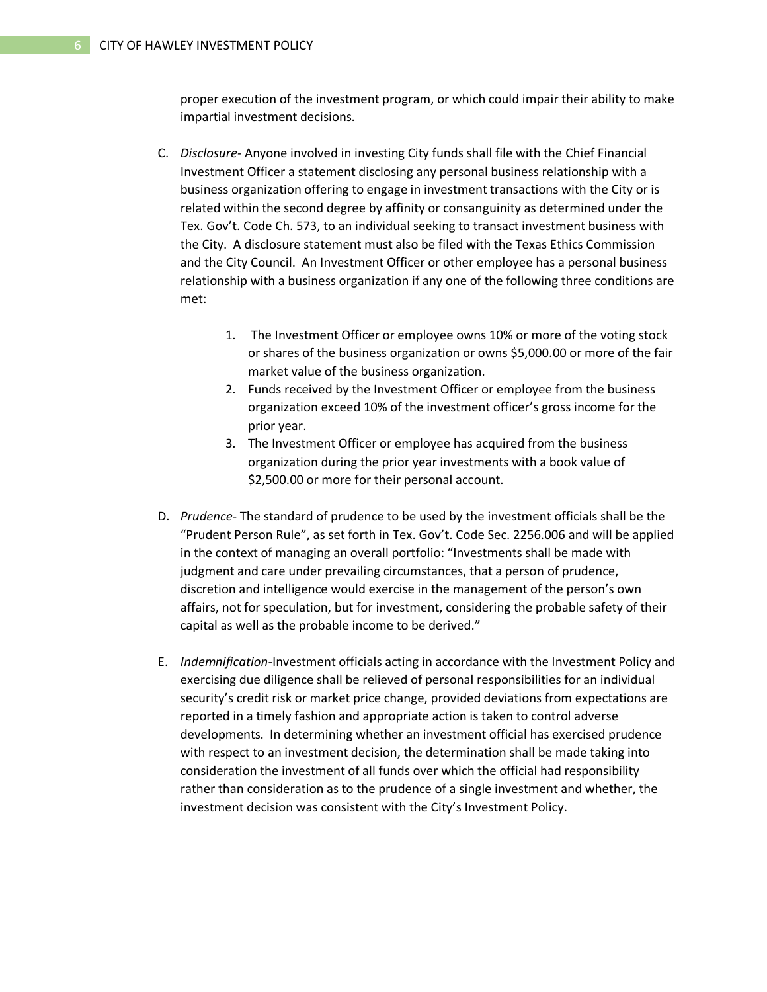proper execution of the investment program, or which could impair their ability to make impartial investment decisions.

- C. *Disclosure-* Anyone involved in investing City funds shall file with the Chief Financial Investment Officer a statement disclosing any personal business relationship with a business organization offering to engage in investment transactions with the City or is related within the second degree by affinity or consanguinity as determined under the Tex. Gov't. Code Ch. 573, to an individual seeking to transact investment business with the City. A disclosure statement must also be filed with the Texas Ethics Commission and the City Council. An Investment Officer or other employee has a personal business relationship with a business organization if any one of the following three conditions are met:
	- 1. The Investment Officer or employee owns 10% or more of the voting stock or shares of the business organization or owns \$5,000.00 or more of the fair market value of the business organization.
	- 2. Funds received by the Investment Officer or employee from the business organization exceed 10% of the investment officer's gross income for the prior year.
	- 3. The Investment Officer or employee has acquired from the business organization during the prior year investments with a book value of \$2,500.00 or more for their personal account.
- D. *Prudence-* The standard of prudence to be used by the investment officials shall be the "Prudent Person Rule", as set forth in Tex. Gov't. Code Sec. 2256.006 and will be applied in the context of managing an overall portfolio: "Investments shall be made with judgment and care under prevailing circumstances, that a person of prudence, discretion and intelligence would exercise in the management of the person's own affairs, not for speculation, but for investment, considering the probable safety of their capital as well as the probable income to be derived."
- E. *Indemnification-*Investment officials acting in accordance with the Investment Policy and exercising due diligence shall be relieved of personal responsibilities for an individual security's credit risk or market price change, provided deviations from expectations are reported in a timely fashion and appropriate action is taken to control adverse developments. In determining whether an investment official has exercised prudence with respect to an investment decision, the determination shall be made taking into consideration the investment of all funds over which the official had responsibility rather than consideration as to the prudence of a single investment and whether, the investment decision was consistent with the City's Investment Policy.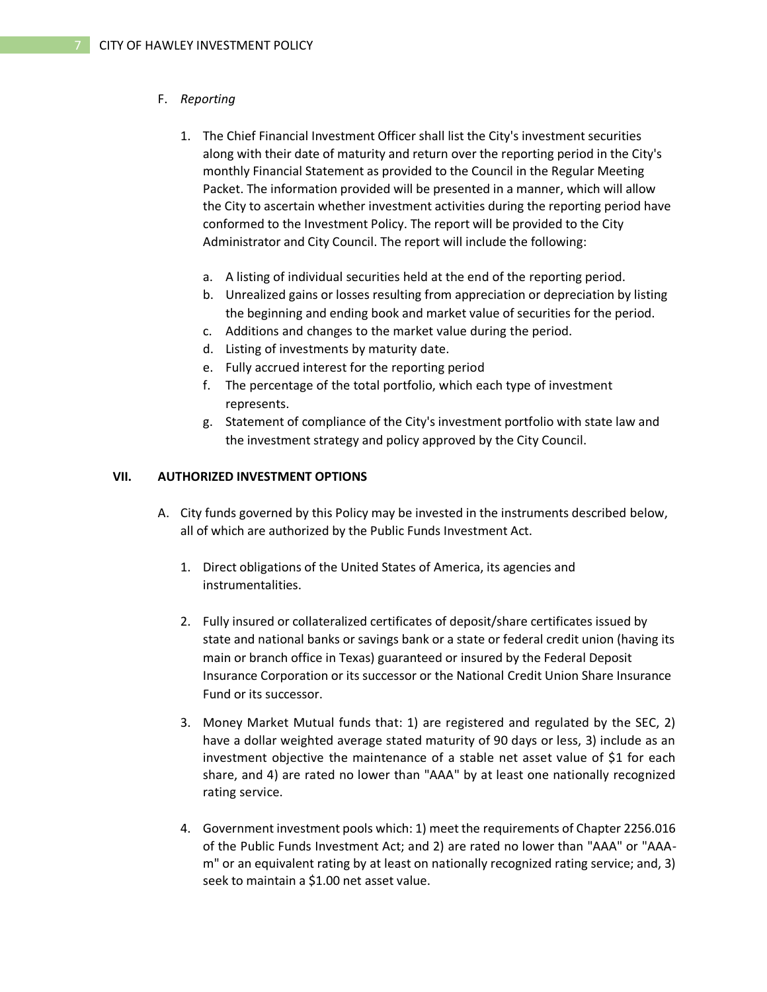#### F. *Reporting*

- 1. The Chief Financial Investment Officer shall list the City's investment securities along with their date of maturity and return over the reporting period in the City's monthly Financial Statement as provided to the Council in the Regular Meeting Packet. The information provided will be presented in a manner, which will allow the City to ascertain whether investment activities during the reporting period have conformed to the Investment Policy. The report will be provided to the City Administrator and City Council. The report will include the following:
	- a. A listing of individual securities held at the end of the reporting period.
	- b. Unrealized gains or losses resulting from appreciation or depreciation by listing the beginning and ending book and market value of securities for the period.
	- c. Additions and changes to the market value during the period.
	- d. Listing of investments by maturity date.
	- e. Fully accrued interest for the reporting period
	- f. The percentage of the total portfolio, which each type of investment represents.
	- g. Statement of compliance of the City's investment portfolio with state law and the investment strategy and policy approved by the City Council.

#### **VII. AUTHORIZED INVESTMENT OPTIONS**

- A. City funds governed by this Policy may be invested in the instruments described below, all of which are authorized by the Public Funds Investment Act.
	- 1. Direct obligations of the United States of America, its agencies and instrumentalities.
	- 2. Fully insured or collateralized certificates of deposit/share certificates issued by state and national banks or savings bank or a state or federal credit union (having its main or branch office in Texas) guaranteed or insured by the Federal Deposit Insurance Corporation or its successor or the National Credit Union Share Insurance Fund or its successor.
	- 3. Money Market Mutual funds that: 1) are registered and regulated by the SEC, 2) have a dollar weighted average stated maturity of 90 days or less, 3) include as an investment objective the maintenance of a stable net asset value of \$1 for each share, and 4) are rated no lower than "AAA" by at least one nationally recognized rating service.
	- 4. Government investment pools which: 1) meet the requirements of Chapter 2256.016 of the Public Funds Investment Act; and 2) are rated no lower than "AAA" or "AAAm" or an equivalent rating by at least on nationally recognized rating service; and, 3) seek to maintain a \$1.00 net asset value.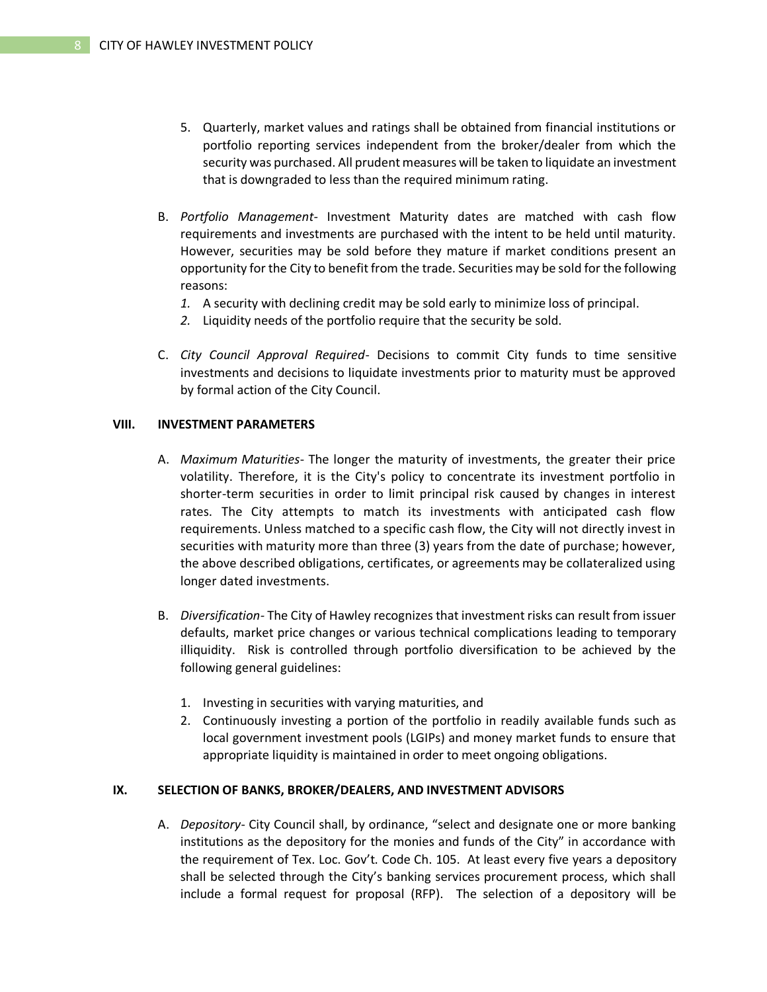- 5. Quarterly, market values and ratings shall be obtained from financial institutions or portfolio reporting services independent from the broker/dealer from which the security was purchased. All prudent measures will be taken to liquidate an investment that is downgraded to less than the required minimum rating.
- B. *Portfolio Management-* Investment Maturity dates are matched with cash flow requirements and investments are purchased with the intent to be held until maturity. However, securities may be sold before they mature if market conditions present an opportunity for the City to benefit from the trade. Securities may be sold for the following reasons:
	- *1.* A security with declining credit may be sold early to minimize loss of principal.
	- *2.* Liquidity needs of the portfolio require that the security be sold.
- C. *City Council Approval Required* Decisions to commit City funds to time sensitive investments and decisions to liquidate investments prior to maturity must be approved by formal action of the City Council.

#### **VIII. INVESTMENT PARAMETERS**

- A. *Maximum Maturities* The longer the maturity of investments, the greater their price volatility. Therefore, it is the City's policy to concentrate its investment portfolio in shorter-term securities in order to limit principal risk caused by changes in interest rates. The City attempts to match its investments with anticipated cash flow requirements. Unless matched to a specific cash flow, the City will not directly invest in securities with maturity more than three (3) years from the date of purchase; however, the above described obligations, certificates, or agreements may be collateralized using longer dated investments.
- B. *Diversification-* The City of Hawley recognizes that investment risks can result from issuer defaults, market price changes or various technical complications leading to temporary illiquidity. Risk is controlled through portfolio diversification to be achieved by the following general guidelines:
	- 1. Investing in securities with varying maturities, and
	- 2. Continuously investing a portion of the portfolio in readily available funds such as local government investment pools (LGIPs) and money market funds to ensure that appropriate liquidity is maintained in order to meet ongoing obligations.

#### **IX. SELECTION OF BANKS, BROKER/DEALERS, AND INVESTMENT ADVISORS**

A. *Depository*- City Council shall, by ordinance, "select and designate one or more banking institutions as the depository for the monies and funds of the City" in accordance with the requirement of Tex. Loc. Gov't. Code Ch. 105. At least every five years a depository shall be selected through the City's banking services procurement process, which shall include a formal request for proposal (RFP). The selection of a depository will be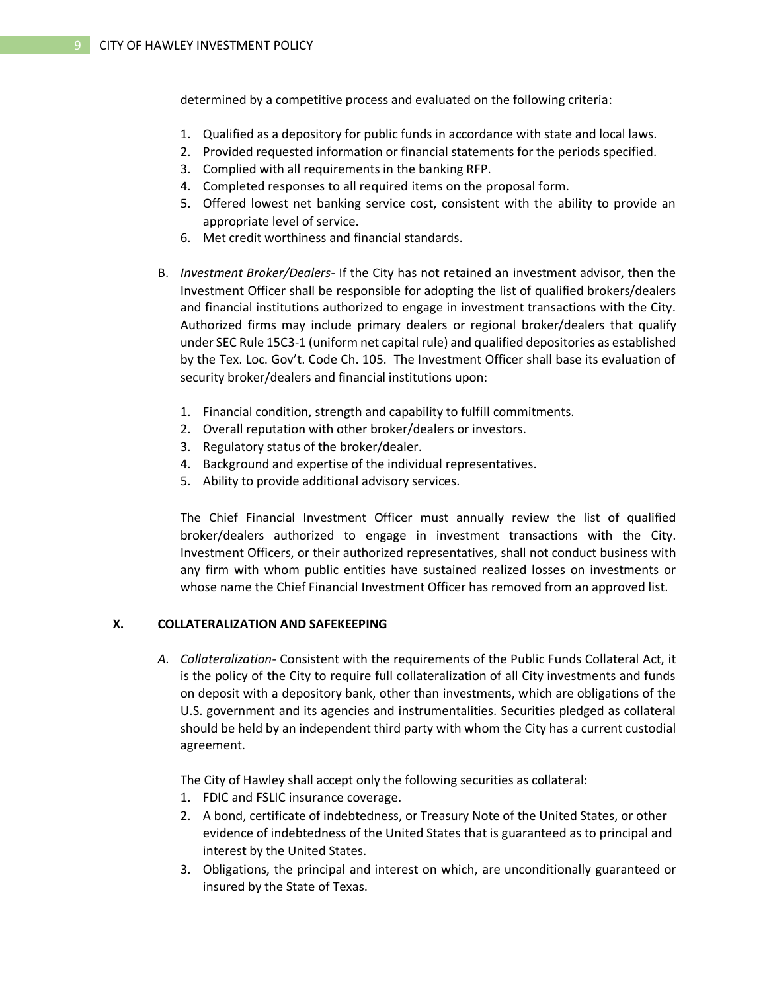determined by a competitive process and evaluated on the following criteria:

- 1. Qualified as a depository for public funds in accordance with state and local laws.
- 2. Provided requested information or financial statements for the periods specified.
- 3. Complied with all requirements in the banking RFP.
- 4. Completed responses to all required items on the proposal form.
- 5. Offered lowest net banking service cost, consistent with the ability to provide an appropriate level of service.
- 6. Met credit worthiness and financial standards.
- B. *Investment Broker/Dealers* If the City has not retained an investment advisor, then the Investment Officer shall be responsible for adopting the list of qualified brokers/dealers and financial institutions authorized to engage in investment transactions with the City. Authorized firms may include primary dealers or regional broker/dealers that qualify under SEC Rule 15C3-1 (uniform net capital rule) and qualified depositories as established by the Tex. Loc. Gov't. Code Ch. 105. The Investment Officer shall base its evaluation of security broker/dealers and financial institutions upon:
	- 1. Financial condition, strength and capability to fulfill commitments.
	- 2. Overall reputation with other broker/dealers or investors.
	- 3. Regulatory status of the broker/dealer.
	- 4. Background and expertise of the individual representatives.
	- 5. Ability to provide additional advisory services.

The Chief Financial Investment Officer must annually review the list of qualified broker/dealers authorized to engage in investment transactions with the City. Investment Officers, or their authorized representatives, shall not conduct business with any firm with whom public entities have sustained realized losses on investments or whose name the Chief Financial Investment Officer has removed from an approved list.

## **X. COLLATERALIZATION AND SAFEKEEPING**

*A. Collateralization*- Consistent with the requirements of the Public Funds Collateral Act, it is the policy of the City to require full collateralization of all City investments and funds on deposit with a depository bank, other than investments, which are obligations of the U.S. government and its agencies and instrumentalities. Securities pledged as collateral should be held by an independent third party with whom the City has a current custodial agreement.

The City of Hawley shall accept only the following securities as collateral:

- 1. FDIC and FSLIC insurance coverage.
- 2. A bond, certificate of indebtedness, or Treasury Note of the United States, or other evidence of indebtedness of the United States that is guaranteed as to principal and interest by the United States.
- 3. Obligations, the principal and interest on which, are unconditionally guaranteed or insured by the State of Texas.